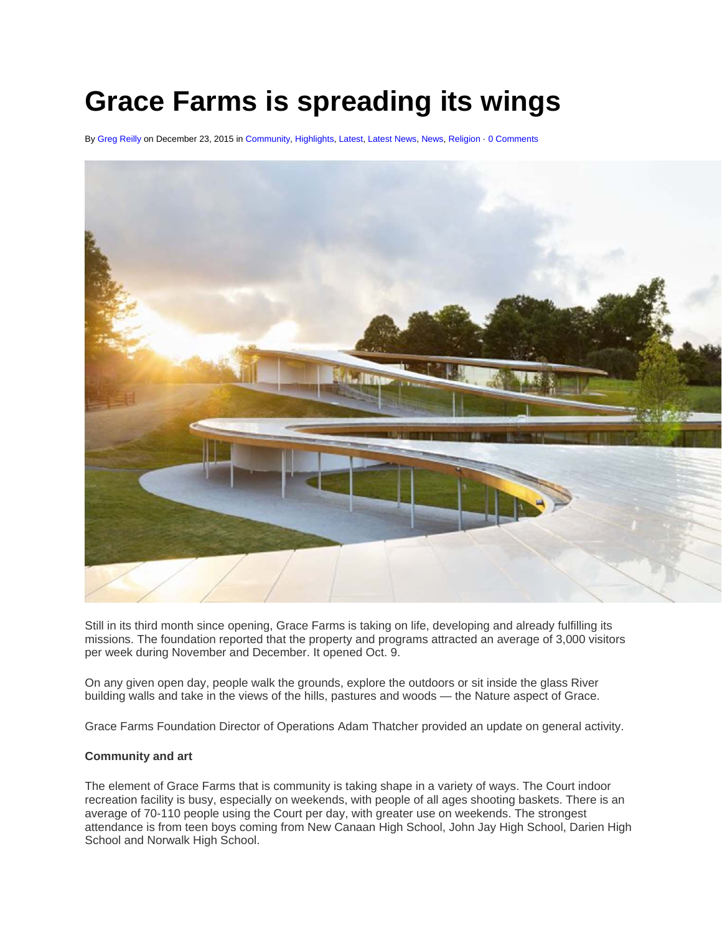## **Grace Farms is spreading its wings**

By Greg Reilly on December 23, 2015 in Community, Highlights, Latest, Latest News, News, Religion · 0 Comments



Still in its third month since opening, Grace Farms is taking on life, developing and already fulfilling its missions. The foundation reported that the property and programs attracted an average of 3,000 visitors per week during November and December. It opened Oct. 9.

On any given open day, people walk the grounds, explore the outdoors or sit inside the glass River building walls and take in the views of the hills, pastures and woods — the Nature aspect of Grace.

Grace Farms Foundation Director of Operations Adam Thatcher provided an update on general activity.

#### **Community and art**

The element of Grace Farms that is community is taking shape in a variety of ways. The Court indoor recreation facility is busy, especially on weekends, with people of all ages shooting baskets. There is an average of 70-110 people using the Court per day, with greater use on weekends. The strongest attendance is from teen boys coming from New Canaan High School, John Jay High School, Darien High School and Norwalk High School.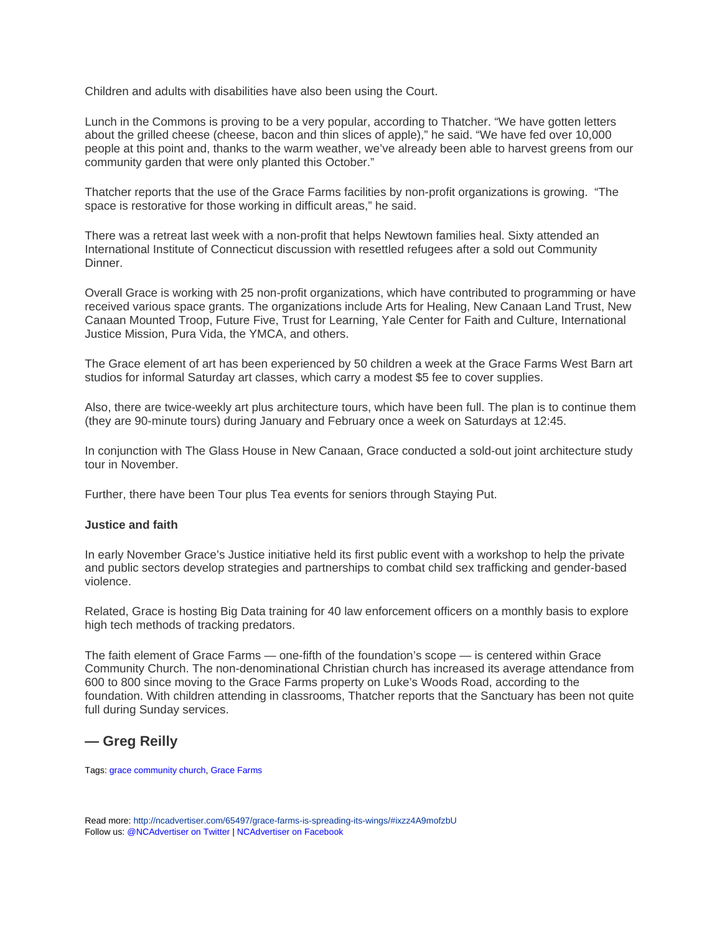Children and adults with disabilities have also been using the Court.

Lunch in the Commons is proving to be a very popular, according to Thatcher. "We have gotten letters about the grilled cheese (cheese, bacon and thin slices of apple)," he said. "We have fed over 10,000 people at this point and, thanks to the warm weather, we've already been able to harvest greens from our community garden that were only planted this October."

Thatcher reports that the use of the Grace Farms facilities by non-profit organizations is growing. "The space is restorative for those working in difficult areas," he said.

There was a retreat last week with a non-profit that helps Newtown families heal. Sixty attended an International Institute of Connecticut discussion with resettled refugees after a sold out Community **Dinner** 

Overall Grace is working with 25 non-profit organizations, which have contributed to programming or have received various space grants. The organizations include Arts for Healing, New Canaan Land Trust, New Canaan Mounted Troop, Future Five, Trust for Learning, Yale Center for Faith and Culture, International Justice Mission, Pura Vida, the YMCA, and others.

The Grace element of art has been experienced by 50 children a week at the Grace Farms West Barn art studios for informal Saturday art classes, which carry a modest \$5 fee to cover supplies.

Also, there are twice-weekly art plus architecture tours, which have been full. The plan is to continue them (they are 90-minute tours) during January and February once a week on Saturdays at 12:45.

In conjunction with The Glass House in New Canaan, Grace conducted a sold-out joint architecture study tour in November.

Further, there have been Tour plus Tea events for seniors through Staying Put.

#### **Justice and faith**

In early November Grace's Justice initiative held its first public event with a workshop to help the private and public sectors develop strategies and partnerships to combat child sex trafficking and gender-based violence.

Related, Grace is hosting Big Data training for 40 law enforcement officers on a monthly basis to explore high tech methods of tracking predators.

The faith element of Grace Farms — one-fifth of the foundation's scope — is centered within Grace Community Church. The non-denominational Christian church has increased its average attendance from 600 to 800 since moving to the Grace Farms property on Luke's Woods Road, according to the foundation. With children attending in classrooms, Thatcher reports that the Sanctuary has been not quite full during Sunday services.

#### **— Greg Reilly**

Tags: grace community church, Grace Farms

Read more: http://ncadvertiser.com/65497/grace-farms-is-spreading-its-wings/#ixzz4A9mofzbU Follow us: @NCAdvertiser on Twitter | NCAdvertiser on Facebook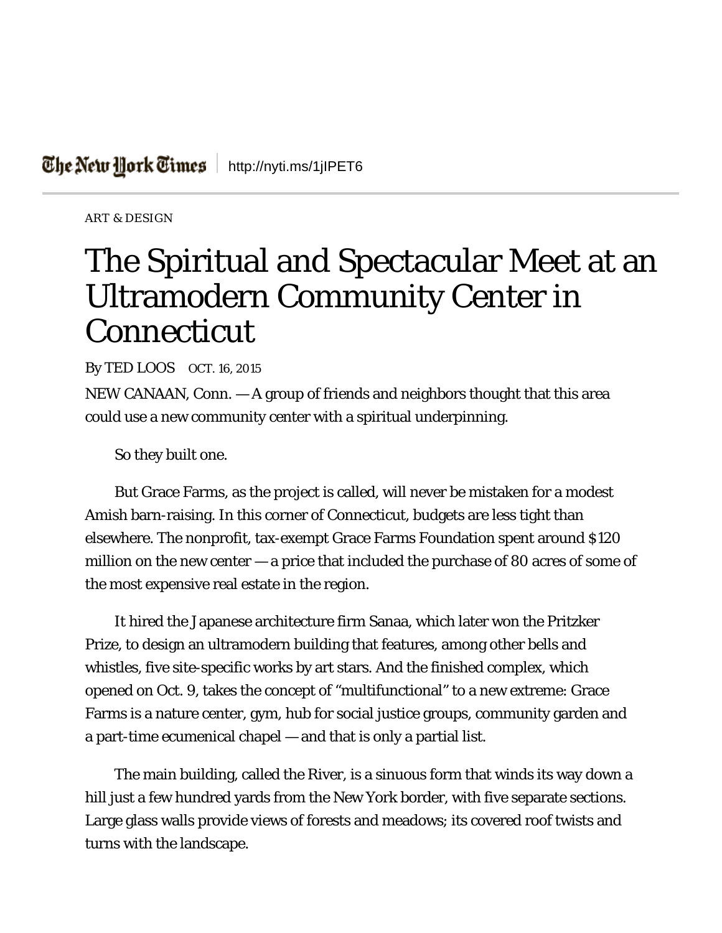ART & DESIGN

## The Spiritual and Spectacular Meet at an Ultramodern Community Center in **Connecticut**

By TED LOOS OCT. 16, 2015

NEW CANAAN, Conn. — A group of friends and neighbors thought that this area could use a new community center with a spiritual underpinning.

So they built one.

But Grace Farms, as the project is called, will never be mistaken for a modest Amish barn-raising. In this corner of Connecticut, budgets are less tight than elsewhere. The nonprofit, tax-exempt Grace Farms Foundation spent around \$120 million on the new center — a price that included the purchase of 80 acres of some of the most expensive real estate in the region.

It hired the Japanese architecture firm Sanaa, which later won the Pritzker Prize, to design an ultramodern building that features, among other bells and whistles, five site-specific works by art stars. And the finished complex, which opened on Oct. 9, takes the concept of "multifunctional" to a new extreme: Grace Farms is a nature center, gym, hub for social justice groups, community garden and a part-time ecumenical chapel — and that is only a partial list.

The main building, called the River, is a sinuous form that winds its way down a hill just a few hundred yards from the New York border, with five separate sections. Large glass walls provide views of forests and meadows; its covered roof twists and turns with the landscape.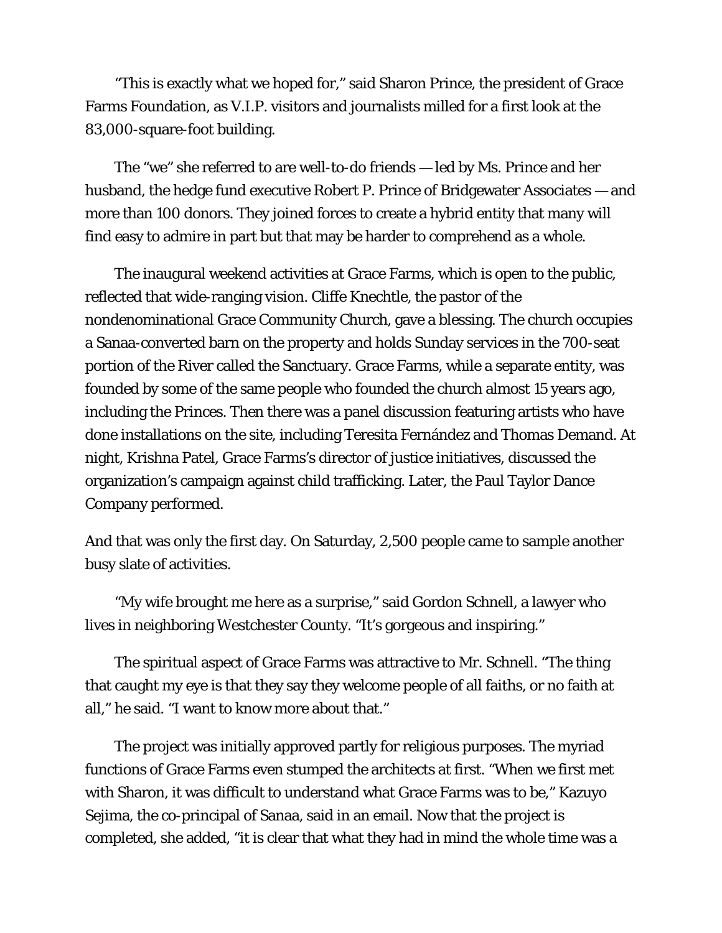"This is exactly what we hoped for," said Sharon Prince, the president of Grace Farms Foundation, as V.I.P. visitors and journalists milled for a first look at the 83,000-square-foot building.

The "we" she referred to are well-to-do friends — led by Ms. Prince and her husband, the hedge fund executive Robert P. Prince of Bridgewater Associates — and more than 100 donors. They joined forces to create a hybrid entity that many will find easy to admire in part but that may be harder to comprehend as a whole.

The inaugural weekend activities at Grace Farms, which is open to the public, reflected that wide-ranging vision. Cliffe Knechtle, the pastor of the nondenominational Grace Community Church, gave a blessing. The church occupies a Sanaa-converted barn on the property and holds Sunday services in the 700-seat portion of the River called the Sanctuary. Grace Farms, while a separate entity, was founded by some of the same people who founded the church almost 15 years ago, including the Princes. Then there was a panel discussion featuring artists who have done installations on the site, including Teresita Fernández and Thomas Demand. At night, Krishna Patel, Grace Farms's director of justice initiatives, discussed the organization's campaign against child trafficking. Later, the Paul Taylor Dance Company performed.

And that was only the first day. On Saturday, 2,500 people came to sample another busy slate of activities.

"My wife brought me here as a surprise," said Gordon Schnell, a lawyer who lives in neighboring Westchester County. "It's gorgeous and inspiring."

The spiritual aspect of Grace Farms was attractive to Mr. Schnell. "The thing that caught my eye is that they say they welcome people of all faiths, or no faith at all," he said. "I want to know more about that."

The project was initially approved partly for religious purposes. The myriad functions of Grace Farms even stumped the architects at first. "When we first met with Sharon, it was difficult to understand what Grace Farms was to be," Kazuyo Sejima, the co-principal of Sanaa, said in an email. Now that the project is completed, she added, "it is clear that what they had in mind the whole time was a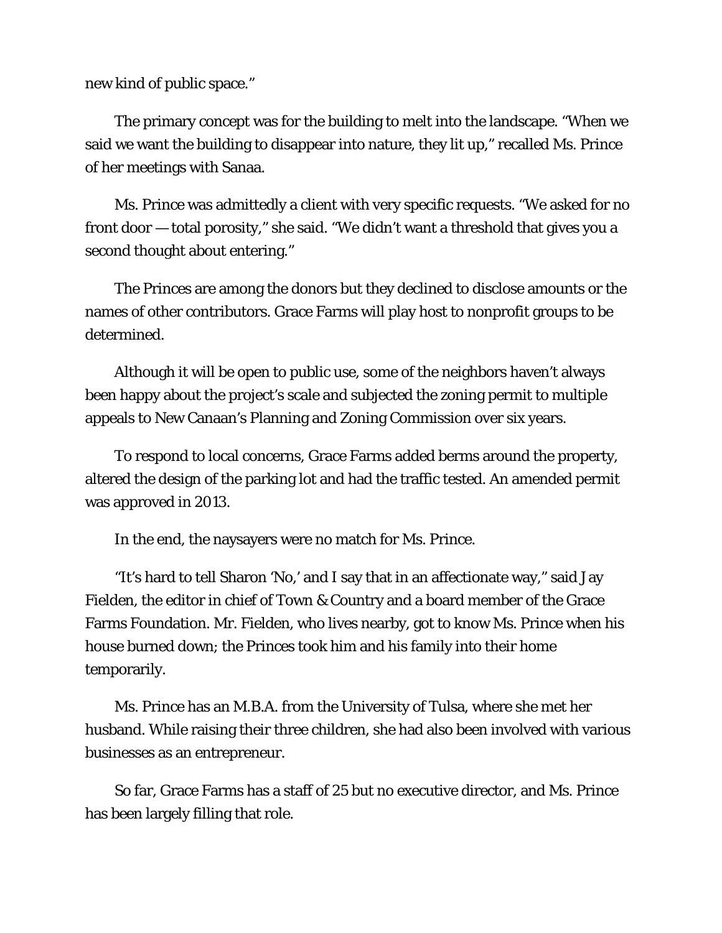new kind of public space."

The primary concept was for the building to melt into the landscape. "When we said we want the building to disappear into nature, they lit up," recalled Ms. Prince of her meetings with Sanaa.

Ms. Prince was admittedly a client with very specific requests. "We asked for no front door — total porosity," she said. "We didn't want a threshold that gives you a second thought about entering."

The Princes are among the donors but they declined to disclose amounts or the names of other contributors. Grace Farms will play host to nonprofit groups to be determined.

Although it will be open to public use, some of the neighbors haven't always been happy about the project's scale and subjected the zoning permit to multiple appeals to New Canaan's Planning and Zoning Commission over six years.

To respond to local concerns, Grace Farms added berms around the property, altered the design of the parking lot and had the traffic tested. An amended permit was approved in 2013.

In the end, the naysayers were no match for Ms. Prince.

"It's hard to tell Sharon 'No,' and I say that in an affectionate way," said Jay Fielden, the editor in chief of Town & Country and a board member of the Grace Farms Foundation. Mr. Fielden, who lives nearby, got to know Ms. Prince when his house burned down; the Princes took him and his family into their home temporarily.

Ms. Prince has an M.B.A. from the University of Tulsa, where she met her husband. While raising their three children, she had also been involved with various businesses as an entrepreneur.

So far, Grace Farms has a staff of 25 but no executive director, and Ms. Prince has been largely filling that role.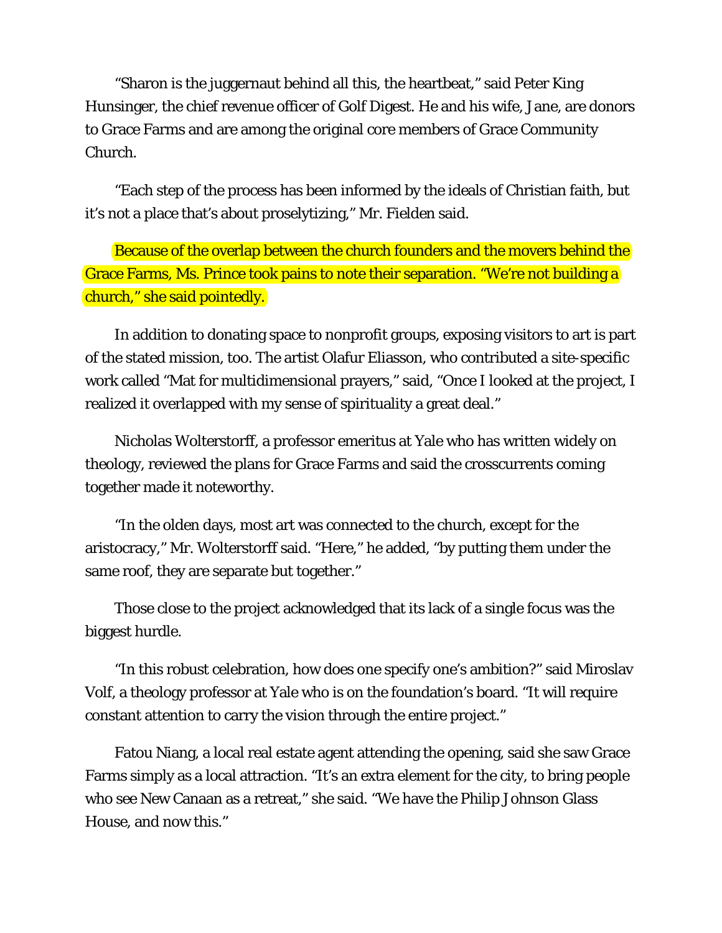"Sharon is the juggernaut behind all this, the heartbeat," said Peter King Hunsinger, the chief revenue officer of Golf Digest. He and his wife, Jane, are donors to Grace Farms and are among the original core members of Grace Community Church.

"Each step of the process has been informed by the ideals of Christian faith, but it's not a place that's about proselytizing," Mr. Fielden said.

Because of the overlap between the church founders and the movers behind the Grace Farms, Ms. Prince took pains to note their separation. "We're not building a church," she said pointedly.

In addition to donating space to nonprofit groups, exposing visitors to art is part of the stated mission, too. The artist Olafur Eliasson, who contributed a site-specific work called "Mat for multidimensional prayers," said, "Once I looked at the project, I realized it overlapped with my sense of spirituality a great deal."

Nicholas Wolterstorff, a professor emeritus at Yale who has written widely on theology, reviewed the plans for Grace Farms and said the crosscurrents coming together made it noteworthy.

"In the olden days, most art was connected to the church, except for the aristocracy," Mr. Wolterstorff said. "Here," he added, "by putting them under the same roof, they are separate but together."

Those close to the project acknowledged that its lack of a single focus was the biggest hurdle.

"In this robust celebration, how does one specify one's ambition?" said Miroslav Volf, a theology professor at Yale who is on the foundation's board. "It will require constant attention to carry the vision through the entire project."

Fatou Niang, a local real estate agent attending the opening, said she saw Grace Farms simply as a local attraction. "It's an extra element for the city, to bring people who see New Canaan as a retreat," she said. "We have the Philip Johnson Glass House, and now this."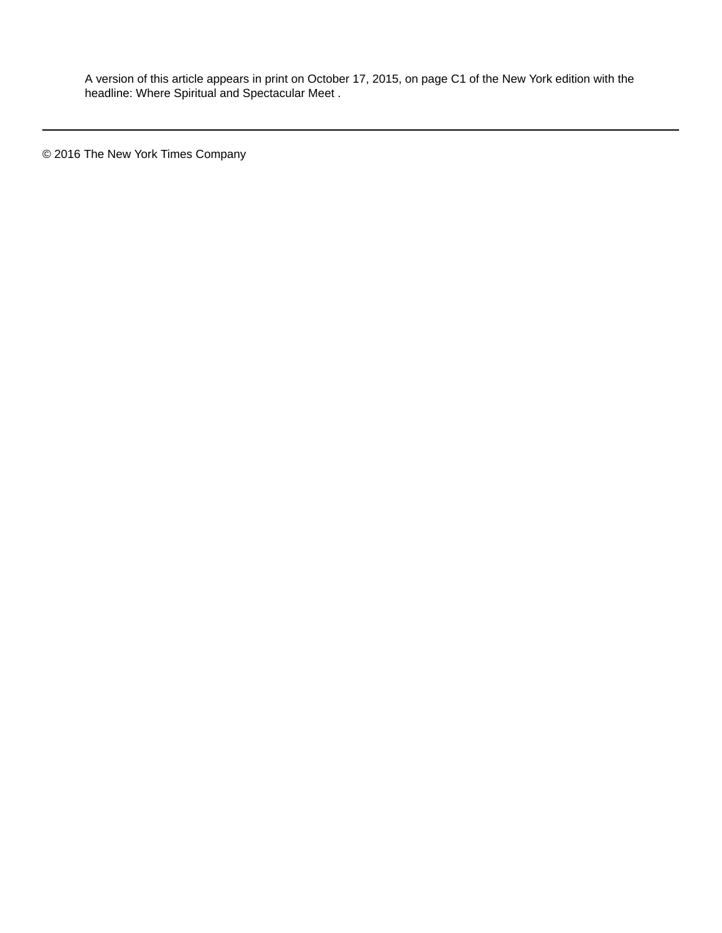A version of this article appears in print on October 17, 2015, on page C1 of the New York edition with the headline: Where Spiritual and Spectacular Meet .

© 2016 The New York Times Company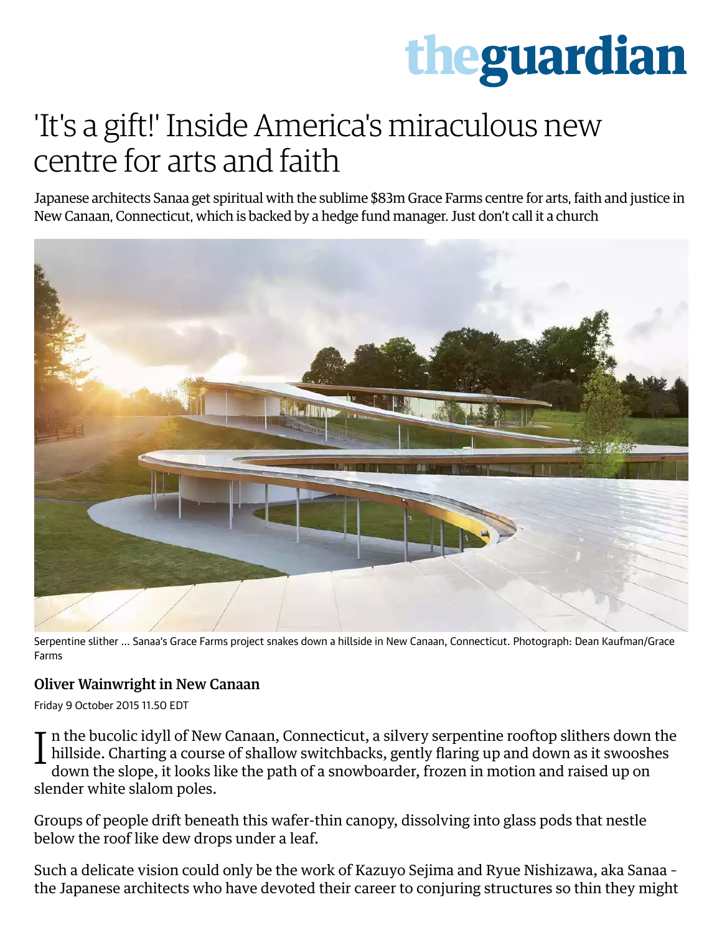# theguardian

## 'It's a gift!' Inside America's miraculous new centre for arts and faith

Japanese architects Sanaa get spiritual with the sublime \$83m Grace Farms centre for arts, faith and justice in New Canaan, Connecticut, which is backed by a hedge fund manager. Just don't call it a church



Serpentine slither … Sanaa's Grace Farms project snakes down a hillside in New Canaan, Connecticut. Photograph: Dean Kaufman/Grace Farms

### [Oliver Wainwright](https://www.theguardian.com/profile/oliver-wainwright) in New Canaan

Friday 9 October 2015 11.50 EDT

I n the bucolic idyll of New Canaan, [Connecticut,](https://www.theguardian.com/us-news/connecticut) a silvery serpentine rooftop slithers down the hillside. Charting a course of shallow switchbacks, gently flaring up and down as it swooshes down the slope, it looks like the path of a snowboarder, frozen in motion and raised up on slender white slalom poles.

Groups of people drift beneath this wafer-thin canopy, dissolving into glass pods that nestle below the roof like dew drops under a leaf.

Such a delicate vision could only be the work of Kazuyo Sejima and Ryue Nishizawa, aka [Sanaa](http://www.dezeen.com/tag/sanaa/) – the Japanese architects who have devoted their career to conjuring structures so thin they might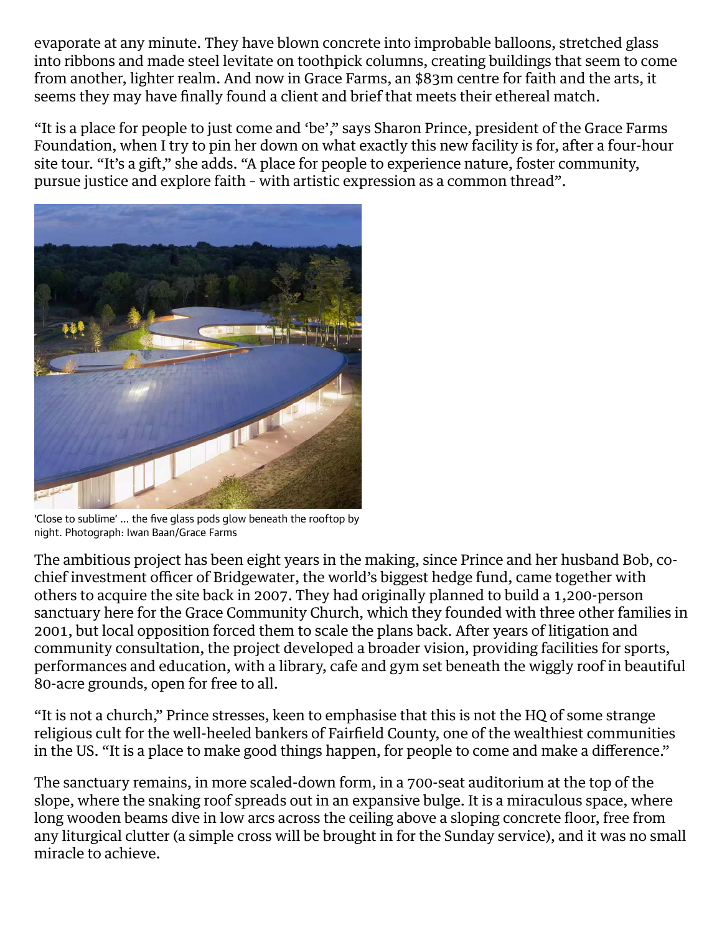evaporate at any minute. They have [blown concrete into improbable balloons,](http://www.archdaily.com/151535/teshima-art-museum) stretched glass into ribbons and made steel levitate on toothpick columns, creating buildings that seem to come from another, lighter realm. And now in [Grace Farms,](http://www.gracefarms.org/) an \$83m centre for faith and the arts, it seems they may have finally found a client and brief that meets their ethereal match.

"It is a place for people to just come and 'be'," says Sharon Prince, president of the Grace Farms Foundation, when I try to pin her down on what exactly this new facility is for, after a four-hour site tour. "It's a gift," she adds. "A place for people to experience nature, foster community, pursue justice and explore faith – with artistic expression as a common thread".



'Close to sublime' … the five glass pods glow beneath the rooftop by night. Photograph: Iwan Baan/Grace Farms

The ambitious project has been eight years in the making, since Prince and her husband Bob, cochief investment officer of [Bridgewater,](http://www.businessinsider.com/robert-bob-prince-bridgewater-2011-7?IR=T) the world's biggest hedge fund, came together with others to acquire the site back in 2007. They had originally planned to build a 1,200-person sanctuary here for the [Grace Community Church,](http://gracecommunity.info/) which they founded with three other families in [2001, but local opposition forced them to scale the plans back. After years of litigation and](http://www.lewisboroledger.com/2669/ct-church-is-ny-problem/) community consultation, the project developed a broader vision, providing facilities for sports, performances and education, with a library, cafe and gym set beneath the wiggly roof in beautiful 80-acre grounds, open for free to all.

"It is not a church," Prince stresses, keen to emphasise that this is not the HQ of some strange religious cult for the well-heeled bankers of Fairfield County, one of the wealthiest communities in the US. "It is a place to make good things happen, for people to come and make a difference."

The sanctuary remains, in more scaled-down form, in a 700-seat auditorium at the top of the slope, where the snaking roof spreads out in an expansive bulge. It is a miraculous space, where long wooden beams dive in low arcs across the ceiling above a sloping concrete floor, free from any liturgical clutter (a simple cross will be brought in for the Sunday service), and it was no small miracle to achieve.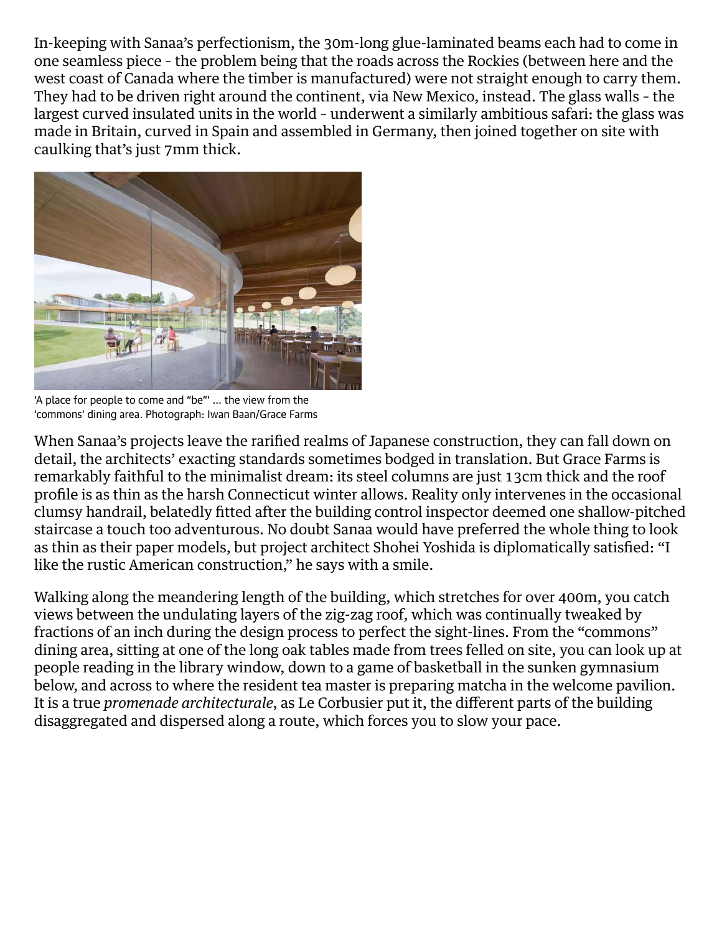In-keeping with Sanaa's perfectionism, the 30m-long glue-laminated beams each had to come in one seamless piece – the problem being that the roads across the Rockies (between here and the west coast of Canada where the timber is manufactured) were not straight enough to carry them. They had to be driven right around the continent, via New Mexico, instead. The glass walls – the largest curved insulated units in the world – underwent a similarly ambitious safari: the glass was made in Britain, curved in Spain and assembled in Germany, then joined together on site with caulking that's just 7mm thick.



'A place for people to come and "be"' … the view from the 'commons' dining area. Photograph: Iwan Baan/Grace Farms

When Sanaa's projects leave the rarified realms of Japanese construction, they can fall down on detail, the architects' exacting standards sometimes bodged in translation. But Grace Farms is remarkably faithful to the minimalist dream: its steel columns are just 13cm thick and the roof profile is as thin as the harsh Connecticut winter allows. Reality only intervenes in the occasional clumsy handrail, belatedly fitted after the building control inspector deemed one shallow-pitched staircase a touch too adventurous. No doubt Sanaa would have preferred the whole thing to look as thin as their paper models, but project architect Shohei Yoshida is diplomatically satisfied: "I like the rustic American construction," he says with a smile.

Walking along the meandering length of the building, which stretches for over 400m, you catch views between the undulating layers of the zig-zag roof, which was continually tweaked by fractions of an inch during the design process to perfect the sight-lines. From the "commons" dining area, sitting at one of the long oak tables made from trees felled on site, you can look up at people reading in the library window, down to a game of basketball in the sunken gymnasium below, and across to where the resident tea master is preparing matcha in the welcome pavilion. It is a true *[promenade architecturale](http://www.quondam.com/31/3171.htm)*, as Le Corbusier put it, the different parts of the building disaggregated and dispersed along a route, which forces you to slow your pace.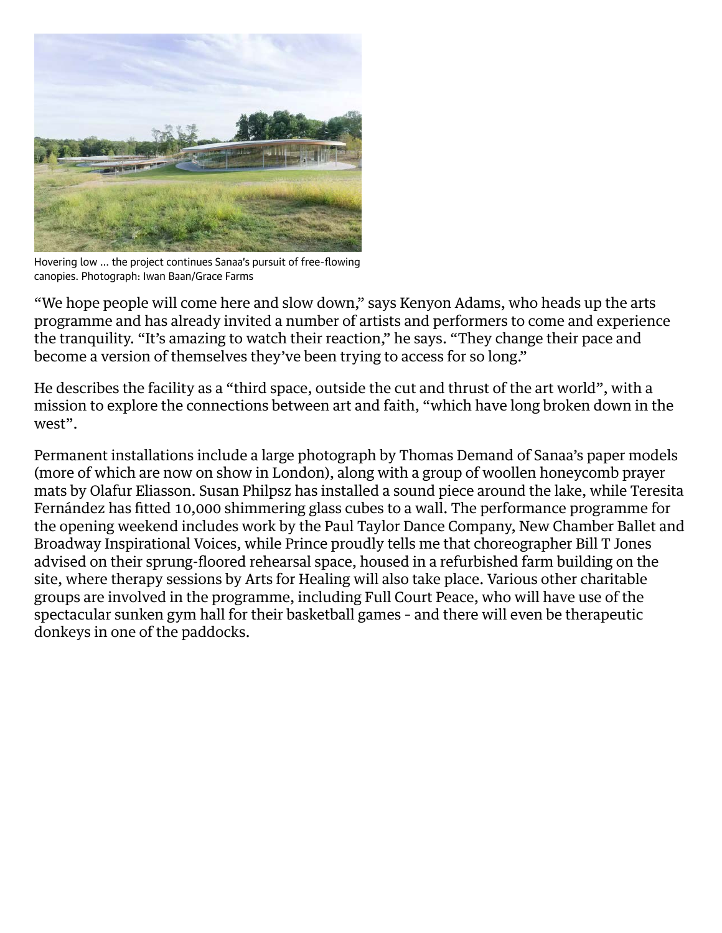

Hovering low … the project continues Sanaa's pursuit of free-flowing canopies. Photograph: Iwan Baan/Grace Farms

["We hope people will come here and slow down," says Kenyon Adams, who heads up the arts](http://www.gracefarms.org/arts) programme and has already invited a number of artists and performers to come and experience the tranquility. "It's amazing to watch their reaction," he says. "They change their pace and become a version of themselves they've been trying to access for so long."

He describes the facility as a "third space, outside the cut and thrust of the art world", with a mission to explore the connections between art and faith, "which have long broken down in the west".

Permanent installations include a large photograph by Thomas Demand of Sanaa's paper models [\(m](http://olafureliasson.net/archive/artwork/WEK109195/mat-for-multidimensional-prayers)[ore of which are now on show in Londo](http://www.spruethmagers.com/exhibitions/396)[n\), along with a group of woollen honeycomb prayer](http://olafureliasson.net/archive/artwork/WEK109195/mat-for-multidimensional-prayers) mats by Olafur Eliasson. Susan Philpsz has installed a sound piece around the lake, while Teresita Fernández has fitted 10,000 shimmering glass cubes to a wall. The performance programme for the opening weekend includes work by the Paul Taylor Dance Company, New Chamber Ballet and Broadway Inspirational Voices, while Prince proudly tells me that choreographer Bill T Jones advised on their sprung-floored rehearsal space, housed in a refurbished farm building on the site, where therapy sessions by [Arts for Healing](http://www.artsforhealing.org/) will also take place. Various other charitable groups are involved in the programme, including [Full Court Peace](http://www.fullcourtpeace.org/), who will have use of the spectacular sunken gym hall for their basketball games – and there will even be therapeutic donkeys in one of the paddocks.